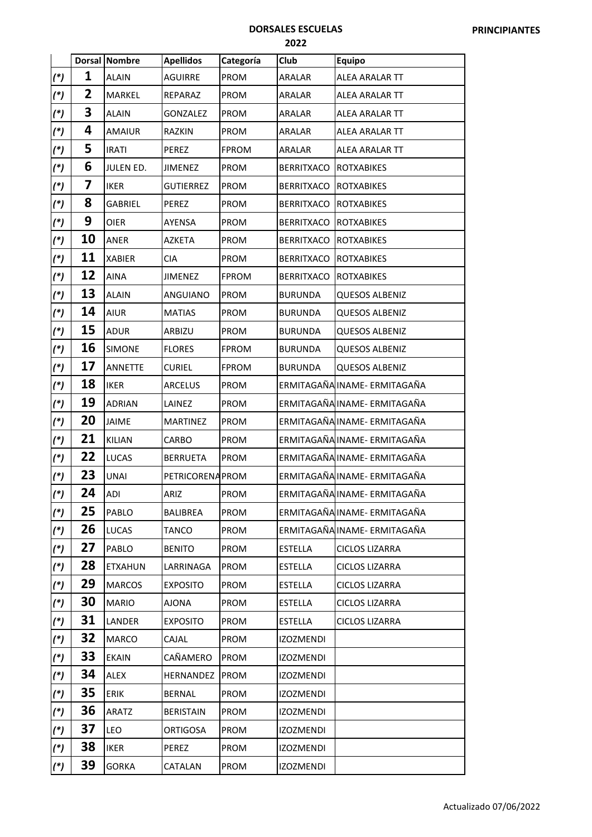|       |    | <b>Dorsal Nombre</b> | <b>Apellidos</b> | Categoría    | Club              | <b>Equipo</b>                |
|-------|----|----------------------|------------------|--------------|-------------------|------------------------------|
| $(*)$ | 1  | <b>ALAIN</b>         | <b>AGUIRRE</b>   | <b>PROM</b>  | ARALAR            | ALEA ARALAR TT               |
| $(*)$ | 2  | MARKEL               | REPARAZ          | <b>PROM</b>  | ARALAR            | ALEA ARALAR TT               |
| $(*)$ | 3  | <b>ALAIN</b>         | GONZALEZ         | <b>PROM</b>  | ARALAR            | ALEA ARALAR TT               |
| $(*)$ | 4  | <b>AMAIUR</b>        | RAZKIN           | <b>PROM</b>  | ARALAR            | ALEA ARALAR TT               |
| $(*)$ | 5  | <b>IRATI</b>         | <b>PEREZ</b>     | <b>FPROM</b> | ARALAR            | ALEA ARALAR TT               |
| $(*)$ | 6  | JULEN ED.            | <b>JIMENEZ</b>   | <b>PROM</b>  | <b>BERRITXACO</b> | <b>ROTXABIKES</b>            |
| $(*)$ | 7  | <b>IKER</b>          | <b>GUTIERREZ</b> | <b>PROM</b>  | <b>BERRITXACO</b> | <b>ROTXABIKES</b>            |
| $(*)$ | 8  | GABRIEL              | <b>PEREZ</b>     | <b>PROM</b>  | <b>BERRITXACO</b> | <b>ROTXABIKES</b>            |
| $(*)$ | 9  | OIER                 | AYENSA           | <b>PROM</b>  | <b>BERRITXACO</b> | <b>ROTXABIKES</b>            |
| (*)   | 10 | ANER                 | <b>AZKETA</b>    | <b>PROM</b>  | <b>BERRITXACO</b> | <b>ROTXABIKES</b>            |
| $(*)$ | 11 | <b>XABIER</b>        | CIA              | <b>PROM</b>  | <b>BERRITXACO</b> | <b>ROTXABIKES</b>            |
| $(*)$ | 12 | <b>AINA</b>          | <b>JIMENEZ</b>   | <b>FPROM</b> | <b>BERRITXACO</b> | <b>ROTXABIKES</b>            |
| $(*)$ | 13 | <b>ALAIN</b>         | <b>ANGUIANO</b>  | <b>PROM</b>  | <b>BURUNDA</b>    | QUESOS ALBENIZ               |
| $(*)$ | 14 | <b>AIUR</b>          | <b>MATIAS</b>    | <b>PROM</b>  | <b>BURUNDA</b>    | QUESOS ALBENIZ               |
| $(*)$ | 15 | <b>ADUR</b>          | ARBIZU           | <b>PROM</b>  | <b>BURUNDA</b>    | <b>QUESOS ALBENIZ</b>        |
| $(*)$ | 16 | <b>SIMONE</b>        | <b>FLORES</b>    | <b>FPROM</b> | <b>BURUNDA</b>    | <b>QUESOS ALBENIZ</b>        |
| $(*)$ | 17 | <b>ANNETTE</b>       | <b>CURIEL</b>    | <b>FPROM</b> | <b>BURUNDA</b>    | <b>QUESOS ALBENIZ</b>        |
| $(*)$ | 18 | <b>IKER</b>          | ARCELUS          | <b>PROM</b>  |                   | ERMITAGAÑA INAME- ERMITAGAÑA |
| $(*)$ | 19 | <b>ADRIAN</b>        | LAINEZ           | <b>PROM</b>  |                   | ERMITAGAÑA INAME- ERMITAGAÑA |
| $(*)$ | 20 | <b>JAIME</b>         | <b>MARTINEZ</b>  | <b>PROM</b>  |                   | ERMITAGAÑA INAME- ERMITAGAÑA |
| $(*)$ | 21 | KILIAN               | CARBO            | <b>PROM</b>  |                   | ERMITAGAÑA INAME- ERMITAGAÑA |
| $(*)$ | 22 | <b>LUCAS</b>         | <b>BERRUETA</b>  | <b>PROM</b>  |                   | ERMITAGAÑA INAME- ERMITAGAÑA |
| $(*)$ | 23 | <b>UNAI</b>          | PETRICORENA PROM |              |                   | ERMITAGAÑA INAME- ERMITAGAÑA |
| $(*)$ | 24 | ADI                  | ARIZ             | <b>PROM</b>  |                   | ERMITAGAÑA INAME- ERMITAGAÑA |
| $(*)$ | 25 | PABLO                | <b>BALIBREA</b>  | PROM         |                   | ERMITAGAÑA INAME- ERMITAGAÑA |
| $(*)$ | 26 | LUCAS                | <b>TANCO</b>     | PROM         |                   | ERMITAGAÑA INAME- ERMITAGAÑA |
| $(*)$ | 27 | PABLO                | <b>BENITO</b>    | PROM         | <b>ESTELLA</b>    | <b>CICLOS LIZARRA</b>        |
| $(*)$ | 28 | <b>ETXAHUN</b>       | LARRINAGA        | PROM         | <b>ESTELLA</b>    | <b>CICLOS LIZARRA</b>        |
| $(*)$ | 29 | <b>MARCOS</b>        | <b>EXPOSITO</b>  | PROM         | <b>ESTELLA</b>    | <b>CICLOS LIZARRA</b>        |
| $(*)$ | 30 | <b>MARIO</b>         | AJONA            | PROM         | <b>ESTELLA</b>    | CICLOS LIZARRA               |
| $(*)$ | 31 | LANDER               | <b>EXPOSITO</b>  | PROM         | <b>ESTELLA</b>    | <b>CICLOS LIZARRA</b>        |
| $(*)$ | 32 | MARCO                | CAJAL            | PROM         | <b>IZOZMENDI</b>  |                              |
| $(*)$ | 33 | <b>EKAIN</b>         | CAÑAMERO         | PROM         | <b>IZOZMENDI</b>  |                              |
| $(*)$ | 34 | <b>ALEX</b>          | HERNANDEZ        | PROM         | <b>IZOZMENDI</b>  |                              |
| $(*)$ | 35 | <b>ERIK</b>          | <b>BERNAL</b>    | PROM         | <b>IZOZMENDI</b>  |                              |
| $(*)$ | 36 | ARATZ                | <b>BERISTAIN</b> | PROM         | <b>IZOZMENDI</b>  |                              |
| $(*)$ | 37 | LEO                  | <b>ORTIGOSA</b>  | PROM         | <b>IZOZMENDI</b>  |                              |
| $(*)$ | 38 | <b>IKER</b>          | PEREZ            | PROM         | <b>IZOZMENDI</b>  |                              |
| (*)   | 39 | <b>GORKA</b>         | CATALAN          | PROM         | <b>IZOZMENDI</b>  |                              |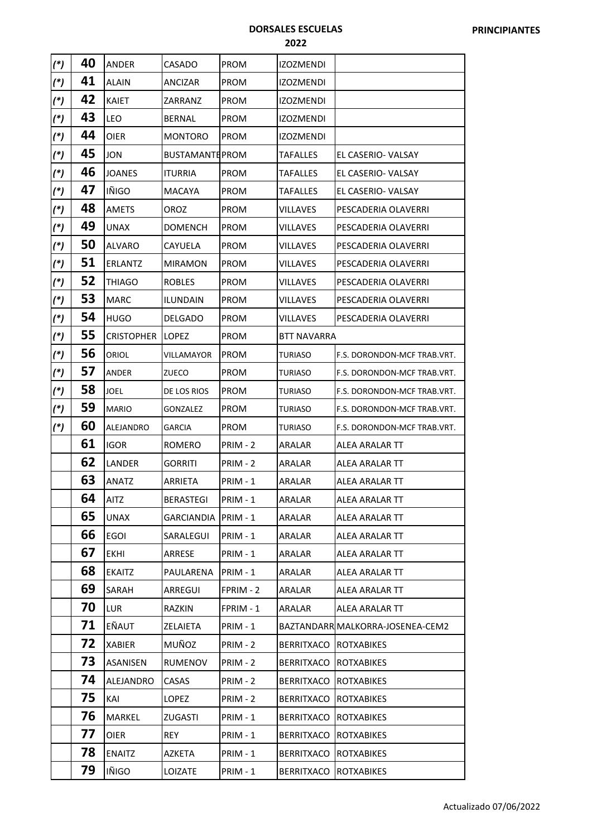| $(*)$ | 40 | <b>ANDER</b>      | CASADO                | <b>PROM</b> | <b>IZOZMENDI</b>   |                                  |
|-------|----|-------------------|-----------------------|-------------|--------------------|----------------------------------|
| $(*)$ | 41 | <b>ALAIN</b>      | ANCIZAR               | <b>PROM</b> | <b>IZOZMENDI</b>   |                                  |
| $(*)$ | 42 | <b>KAIET</b>      | ZARRANZ               | PROM        | <b>IZOZMENDI</b>   |                                  |
| $(*)$ | 43 | <b>LEO</b>        | <b>BERNAL</b>         | <b>PROM</b> | <b>IZOZMENDI</b>   |                                  |
| $(*)$ | 44 | <b>OIER</b>       | <b>MONTORO</b>        | PROM        | <b>IZOZMENDI</b>   |                                  |
| $(*)$ | 45 | <b>JON</b>        | <b>BUSTAMANTEPROM</b> |             | <b>TAFALLES</b>    | EL CASERIO- VALSAY               |
| $(*)$ | 46 | <b>JOANES</b>     | <b>ITURRIA</b>        | <b>PROM</b> | <b>TAFALLES</b>    | EL CASERIO-VALSAY                |
| $(*)$ | 47 | <b>IÑIGO</b>      | <b>MACAYA</b>         | PROM        | <b>TAFALLES</b>    | EL CASERIO-VALSAY                |
| $(*)$ | 48 | <b>AMETS</b>      | OROZ                  | PROM        | VILLAVES           | PESCADERIA OLAVERRI              |
| $(*)$ | 49 | <b>UNAX</b>       | <b>DOMENCH</b>        | <b>PROM</b> | <b>VILLAVES</b>    | PESCADERIA OLAVERRI              |
| $(*)$ | 50 | <b>ALVARO</b>     | CAYUELA               | <b>PROM</b> | <b>VILLAVES</b>    | PESCADERIA OLAVERRI              |
| $(*)$ | 51 | <b>ERLANTZ</b>    | <b>MIRAMON</b>        | <b>PROM</b> | <b>VILLAVES</b>    | PESCADERIA OLAVERRI              |
| $(*)$ | 52 | <b>THIAGO</b>     | <b>ROBLES</b>         | <b>PROM</b> | <b>VILLAVES</b>    | PESCADERIA OLAVERRI              |
| $(*)$ | 53 | <b>MARC</b>       | <b>ILUNDAIN</b>       | <b>PROM</b> | <b>VILLAVES</b>    | PESCADERIA OLAVERRI              |
| $(*)$ | 54 | <b>HUGO</b>       | <b>DELGADO</b>        | PROM        | VILLAVES           | PESCADERIA OLAVERRI              |
| $(*)$ | 55 | <b>CRISTOPHER</b> | <b>LOPEZ</b>          | <b>PROM</b> | <b>BTT NAVARRA</b> |                                  |
| $(*)$ | 56 | ORIOL             | VILLAMAYOR            | <b>PROM</b> | <b>TURIASO</b>     | F.S. DORONDON-MCF TRAB.VRT.      |
| $(*)$ | 57 | ANDER             | <b>ZUECO</b>          | <b>PROM</b> | TURIASO            | F.S. DORONDON-MCF TRAB.VRT.      |
| $(*)$ | 58 | <b>JOEL</b>       | DE LOS RIOS           | <b>PROM</b> | <b>TURIASO</b>     | F.S. DORONDON-MCF TRAB.VRT.      |
| $(*)$ | 59 | <b>MARIO</b>      | GONZALEZ              | <b>PROM</b> | <b>TURIASO</b>     | F.S. DORONDON-MCF TRAB.VRT.      |
| $(*)$ | 60 | ALEJANDRO         | <b>GARCIA</b>         | PROM        | <b>TURIASO</b>     | F.S. DORONDON-MCF TRAB.VRT.      |
|       | 61 | <b>IGOR</b>       | <b>ROMERO</b>         | PRIM - 2    | ARALAR             | ALEA ARALAR TT                   |
|       | 62 | LANDER            | GORRITI               | PRIM - 2    | ARALAR             | ALEA ARALAR TT                   |
|       | 63 | <b>ANATZ</b>      | ARRIETA               | PRIM - 1    | ARALAR             | ALEA ARALAR TT                   |
|       | 64 | AITZ              | BERASTEGI             | PRIM - 1    | ARALAR             | ALEA ARALAR TT                   |
|       | 65 | <b>UNAX</b>       | GARCIANDIA            | PRIM - 1    | ARALAR             | ALEA ARALAR TT                   |
|       | 66 | <b>EGOI</b>       | SARALEGUI             | PRIM - 1    | ARALAR             | ALEA ARALAR TT                   |
|       | 67 | EKHI              | ARRESE                | PRIM - 1    | <b>ARALAR</b>      | ALEA ARALAR TT                   |
|       | 68 | <b>EKAITZ</b>     | PAULARENA             | PRIM - 1    | ARALAR             | ALEA ARALAR TT                   |
|       | 69 | SARAH             | ARREGUI               | FPRIM - 2   | ARALAR             | ALEA ARALAR TT                   |
|       | 70 | LUR               | RAZKIN                | FPRIM - 1   | ARALAR             | <b>ALEA ARALAR TT</b>            |
|       | 71 | EÑAUT             | ZELAIETA              | PRIM - 1    |                    | BAZTANDARRIMALKORRA-JOSENEA-CEM2 |
|       | 72 | <b>XABIER</b>     | MUÑOZ                 | PRIM - 2    | BERRITXACO         | <b>ROTXABIKES</b>                |
|       | 73 | ASANISEN          | RUMENOV               | PRIM - 2    | <b>BERRITXACO</b>  | <b>ROTXABIKES</b>                |
|       | 74 | ALEJANDRO         | CASAS                 | PRIM - 2    | <b>BERRITXACO</b>  | ROTXABIKES                       |
|       | 75 | KAI               | LOPEZ                 | PRIM - 2    | <b>BERRITXACO</b>  | ROTXABIKES                       |
|       | 76 | MARKEL            | ZUGASTI               | PRIM - 1    | <b>BERRITXACO</b>  | ROTXABIKES                       |
|       | 77 | OIER              | <b>REY</b>            | PRIM - 1    | <b>BERRITXACO</b>  | ROTXABIKES                       |
|       | 78 | <b>ENAITZ</b>     | AZKETA                | PRIM - 1    | <b>BERRITXACO</b>  | <b>ROTXABIKES</b>                |
|       | 79 | IÑIGO             | LOIZATE               | PRIM - 1    | <b>BERRITXACO</b>  | ROTXABIKES                       |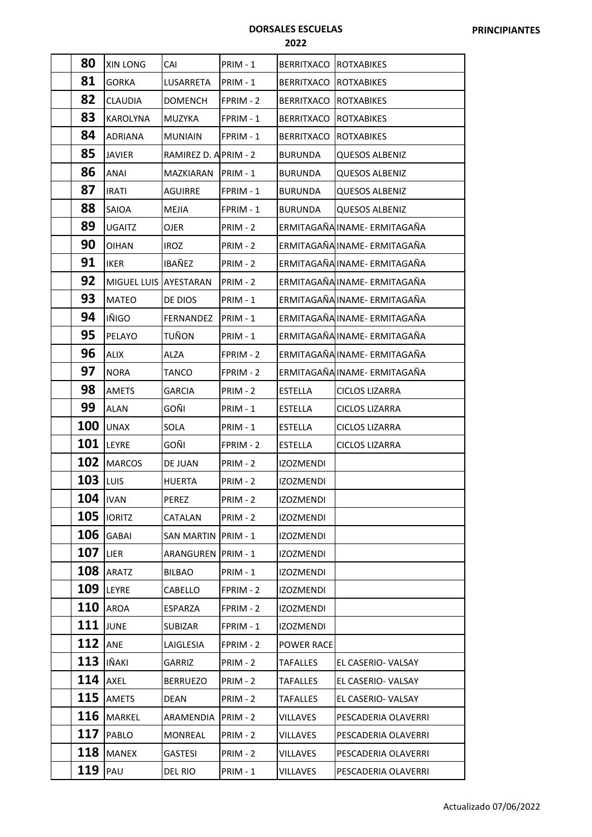| 80         | <b>XIN LONG</b>       | CAI                   | PRIM - 1  | BERRITXACO ROTXABIKES |                              |
|------------|-----------------------|-----------------------|-----------|-----------------------|------------------------------|
| 81         | <b>GORKA</b>          | LUSARRETA             | PRIM - 1  | BERRITXACO            | <b>ROTXABIKES</b>            |
| 82         | <b>CLAUDIA</b>        | <b>DOMENCH</b>        | FPRIM - 2 | BERRITXACO            | <b>ROTXABIKES</b>            |
| 83         | <b>KAROLYNA</b>       | MUZYKA                | FPRIM - 1 | <b>BERRITXACO</b>     | <b>ROTXABIKES</b>            |
| 84         | <b>ADRIANA</b>        | <b>MUNIAIN</b>        | FPRIM - 1 | <b>BERRITXACO</b>     | <b>ROTXABIKES</b>            |
| 85         | <b>JAVIER</b>         | RAMIREZ D. A PRIM - 2 |           | <b>BURUNDA</b>        | <b>QUESOS ALBENIZ</b>        |
| 86         | <b>ANAI</b>           | MAZKIARAN             | PRIM - 1  | <b>BURUNDA</b>        | QUESOS ALBENIZ               |
| 87         | <b>IRATI</b>          | <b>AGUIRRE</b>        | FPRIM - 1 | <b>BURUNDA</b>        | QUESOS ALBENIZ               |
| 88         | SAIOA                 | <b>MEJIA</b>          | FPRIM - 1 | <b>BURUNDA</b>        | <b>QUESOS ALBENIZ</b>        |
| 89         | <b>UGAITZ</b>         | OJER                  | PRIM - 2  |                       | ERMITAGAÑA INAME- ERMITAGAÑA |
| 90         | <b>OIHAN</b>          | <b>IROZ</b>           | PRIM - 2  |                       | ERMITAGAÑA INAME- ERMITAGAÑA |
| 91         | <b>IKER</b>           | IBAÑEZ                | PRIM - 2  |                       | ERMITAGAÑA INAME- ERMITAGAÑA |
| 92         | MIGUEL LUIS AYESTARAN |                       | PRIM - 2  |                       | ERMITAGAÑA INAME- ERMITAGAÑA |
| 93         | <b>MATEO</b>          | DE DIOS               | PRIM - 1  |                       | ERMITAGAÑA INAME- ERMITAGAÑA |
| 94         | <b>IÑIGO</b>          | FERNANDEZ             | PRIM - 1  |                       | ERMITAGAÑA INAME- ERMITAGAÑA |
| 95         | <b>PELAYO</b>         | TUÑON                 | PRIM - 1  |                       | ERMITAGAÑA INAME- ERMITAGAÑA |
| 96         | <b>ALIX</b>           | ALZA                  | FPRIM - 2 |                       | ERMITAGAÑA INAME- ERMITAGAÑA |
| 97         | <b>NORA</b>           | TANCO                 | FPRIM - 2 |                       | ERMITAGAÑA INAME- ERMITAGAÑA |
| 98         | AMETS                 | GARCIA                | PRIM - 2  | <b>ESTELLA</b>        | <b>CICLOS LIZARRA</b>        |
| 99         | <b>ALAN</b>           | GOÑI                  | PRIM - 1  | ESTELLA               | <b>CICLOS LIZARRA</b>        |
| 100        | <b>UNAX</b>           | SOLA                  | PRIM - 1  | <b>ESTELLA</b>        | <b>CICLOS LIZARRA</b>        |
| 101        | LEYRE                 | GOÑI                  | FPRIM - 2 | <b>ESTELLA</b>        | CICLOS LIZARRA               |
| 102        | <b>MARCOS</b>         | DE JUAN               | PRIM - 2  | <b>IZOZMENDI</b>      |                              |
| 103        | LUIS                  | <b>HUERTA</b>         | PRIM - 2  | <b>IZOZMENDI</b>      |                              |
| 104  ivan  |                       | PEREZ                 | PRIM - 2  | IZOZMENDI             |                              |
| 105        | <b>IORITZ</b>         | CATALAN               | PRIM - 2  | IZOZMENDI             |                              |
| <b>106</b> | <b>GABAI</b>          | SAN MARTIN PRIM - 1   |           | <b>IZOZMENDI</b>      |                              |
| 107        | LIER                  | <b>ARANGUREN</b>      | PRIM - 1  | <b>IZOZMENDI</b>      |                              |
| 108        | ARATZ                 | <b>BILBAO</b>         | PRIM - 1  | <b>IZOZMENDI</b>      |                              |
| 109        | LEYRE                 | CABELLO               | FPRIM - 2 | <b>IZOZMENDI</b>      |                              |
| <b>110</b> | AROA                  | ESPARZA               | FPRIM - 2 | <b>IZOZMENDI</b>      |                              |
| $111$ JUNE |                       | SUBIZAR               | FPRIM - 1 | <b>IZOZMENDI</b>      |                              |
| 112        | <b>ANE</b>            | LAIGLESIA             | FPRIM - 2 | <b>POWER RACE</b>     |                              |
| 113        | IÑAKI                 | GARRIZ                | PRIM - 2  | TAFALLES              | EL CASERIO-VALSAY            |
| 114        | AXEL                  | <b>BERRUEZO</b>       | PRIM - 2  | <b>TAFALLES</b>       | EL CASERIO-VALSAY            |
| 115        | <b>AMETS</b>          | DEAN                  | PRIM - 2  | <b>TAFALLES</b>       | EL CASERIO-VALSAY            |
| 116        | <b>MARKEL</b>         | ARAMENDIA             | PRIM - 2  | <b>VILLAVES</b>       | PESCADERIA OLAVERRI          |
| 117        | <b>PABLO</b>          | MONREAL               | PRIM - 2  | VILLAVES              | PESCADERIA OLAVERRI          |
| 118        | <b>MANEX</b>          | GASTESI               | PRIM - 2  | <b>VILLAVES</b>       | PESCADERIA OLAVERRI          |
| 119        | PAU                   | DEL RIO               | PRIM - 1  | VILLAVES              | PESCADERIA OLAVERRI          |